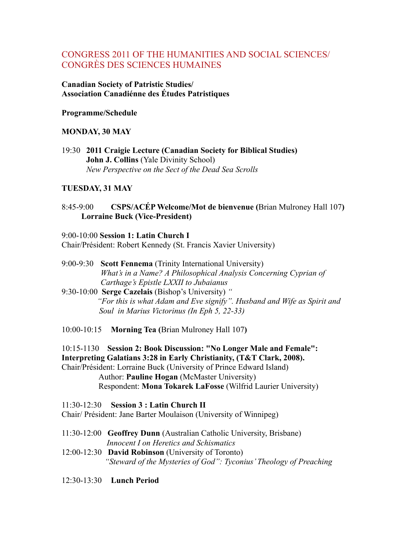# CONGRESS 2011 OF THE HUMANITIES AND SOCIAL SCIENCES/ CONGRÈS DES SCIENCES HUMAINES

**Canadian Society of Patristic Studies/ Association Canadiénne des Études Patristiques**

#### **Programme/Schedule**

#### **MONDAY, 30 MAY**

19:30 **2011 Craigie Lecture (Canadian Society for Biblical Studies) John J. Collins** (Yale Divinity School) *New Perspective on the Sect of the Dead Sea Scrolls*

#### **TUESDAY, 31 MAY**

### 8:45-9:00 **CSPS/ACÉP Welcome/Mot de bienvenue (**Brian Mulroney Hall 107**) Lorraine Buck (Vice-President)**

- 9:00-10:00 **Session 1: Latin Church I**  Chair/Président: Robert Kennedy (St. Francis Xavier University)
- 9:00-9:30 **Scott Fennema** (Trinity International University)  *What's in a Name? A Philosophical Analysis Concerning Cyprian of Carthage's Epistle LXXII to Jubaianus*
- 9:30-10:00 **Serge Cazelais** (Bishop's University) *" "For this is what Adam and Eve signify". Husband and Wife as Spirit and Soul in Marius Victorinus (In Eph 5, 22-33)*
- 10:00-10:15 **Morning Tea (**Brian Mulroney Hall 107**)**
- 10:15-1130 **Session 2: Book Discussion: "No Longer Male and Female":**
- **Interpreting Galatians 3:28 in Early Christianity, (T&T Clark, 2008).**

Chair/Président: Lorraine Buck (University of Prince Edward Island) Author: **Pauline Hogan** (McMaster University) Respondent: **Mona Tokarek LaFosse** (Wilfrid Laurier University)

11:30-12:30 **Session 3 : Latin Church II** Chair/ Président: Jane Barter Moulaison (University of Winnipeg)

- 11:30-12:00 **Geoffrey Dunn** (Australian Catholic University, Brisbane) *Innocent I on Heretics and Schismatics*
- 12:00-12:30 **David Robinson** (University of Toronto)  *"Steward of the Mysteries of God": Tyconius' Theology of Preaching*
- 12:30-13:30 **Lunch Period**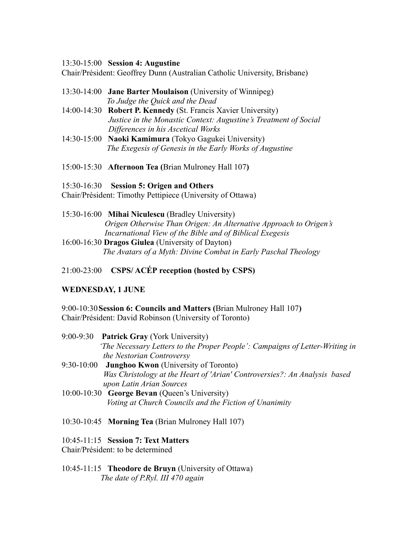#### 13:30-15:00 **Session 4: Augustine**

Chair/Président: Geoffrey Dunn (Australian Catholic University, Brisbane)

- 13:30-14:00 **Jane Barter Moulaison** (University of Winnipeg) *To Judge the Quick and the Dead*
- 14:00-14:30 **Robert P. Kennedy** (St. Francis Xavier University)  *Justice in the Monastic Context: Augustine's Treatment of Social Differences in his Ascetical Works*
- 14:30-15:00 **Naoki Kamimura** (Tokyo Gagukei University) *The Exegesis of Genesis in the Early Works of Augustine*
- 15:00-15:30 **Afternoon Tea (**Brian Mulroney Hall 107**)**
- 15:30-16:30 **Session 5: Origen and Others**

Chair/Président: Timothy Pettipiece (University of Ottawa)

- 15:30-16:00 **Mihai Niculescu** (Bradley University)  *Origen Otherwise Than Origen: An Alternative Approach to Origen's Incarnational View of the Bible and of Biblical Exegesis* 16:00-16:30 **Dragos Giulea** (University of Dayton)  *The Avatars of a Myth: Divine Combat in Early Paschal Theology*
- 21:00-23:00 **CSPS/ ACÉP reception (hosted by CSPS)**

### **WEDNESDAY, 1 JUNE**

9:00-10:30**Session 6: Councils and Matters (**Brian Mulroney Hall 107**)** Chair/Président: David Robinson (University of Toronto)

- 9:00-9:30 **Patrick Gray** (York University)  *'The Necessary Letters to the Proper People': Campaigns of Letter-Writing in the Nestorian Controversy*
- 9:30-10:00 **Junghoo Kwon** (University of Toronto)  *Was Christology at the Heart of 'Arian' Controversies?: An Analysis based upon Latin Arian Sources*
- 10:00-10:30 **George Bevan** (Queen's University) *Voting at Church Councils and the Fiction of Unanimity*
- 10:30-10:45 **Morning Tea** (Brian Mulroney Hall 107)

10:45-11:15 **Session 7: Text Matters**

Chair/Président: to be determined

10:45-11:15 **Theodore de Bruyn** (University of Ottawa)  *The date of P.Ryl. III 470 again*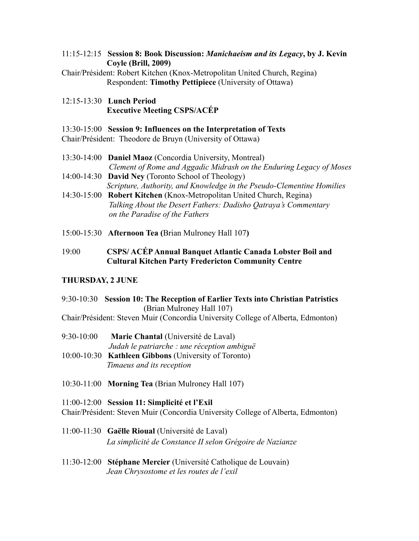11:15-12:15 **Session 8: Book Discussion:** *Manichaeism and its Legacy***, by J. Kevin Coyle (Brill, 2009)**

Chair/Président: Robert Kitchen (Knox-Metropolitan United Church, Regina) Respondent: **Timothy Pettipiece** (University of Ottawa)

12:15-13:30 **Lunch Period Executive Meeting CSPS/ACÉP**

#### 13:30-15:00 **Session 9: Influences on the Interpretation of Texts**

Chair/Président: Theodore de Bruyn (University of Ottawa)

- 13:30-14:00 **Daniel Maoz** (Concordia University, Montreal) *Clement of Rome and Aggadic Midrash on the Enduring Legacy of Moses*
- 14:00-14:30 **David Ney** (Toronto School of Theology)  *Scripture, Authority, and Knowledge in the Pseudo-Clementine Homilies*
- 14:30-15:00 **Robert Kitchen** (Knox-Metropolitan United Church, Regina) *Talking About the Desert Fathers: Dadisho Qatraya's Commentary on the Paradise of the Fathers*
- 15:00-15:30 **Afternoon Tea (**Brian Mulroney Hall 107**)**
- 19:00 **CSPS/ ACÉPAnnual Banquet Atlantic Canada Lobster Boil and Cultural Kitchen Party Fredericton Community Centre**

### **THURSDAY, 2 JUNE**

### 9:30-10:30 **Session 10: The Reception of Earlier Texts into Christian Patristics** (Brian Mulroney Hall 107)

Chair/Président: Steven Muir (Concordia University College of Alberta, Edmonton)

- 9:30-10:00 **Marie Chantal** (Université de Laval)
	- *Judah le patriarche : une réception ambiguë*
- 10:00-10:30 **Kathleen Gibbons** (University of Toronto)  *Timaeus and its reception*
- 10:30-11:00 **Morning Tea** (Brian Mulroney Hall 107)

#### 11:00-12:00 **Session 11: Simplicité et l'Exil**

Chair/Président: Steven Muir (Concordia University College of Alberta, Edmonton)

- 11:00-11:30 **Gaëlle Rioual** (Université de Laval) *La simplicité de Constance II selon Grégoire de Nazianze*
- 11:30-12:00 **Stéphane Mercier** (Université Catholique de Louvain)  *Jean Chrysostome et les routes de l'exil*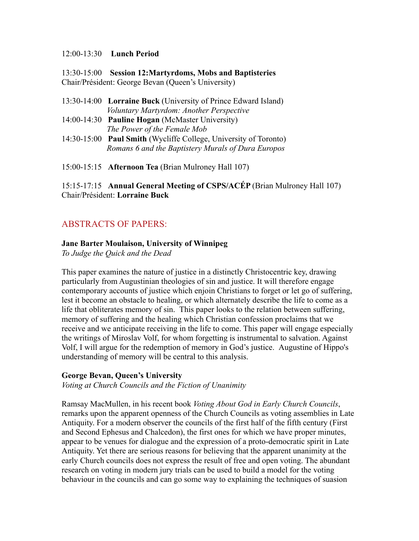#### 12:00-13:30 **Lunch Period**

13:30-15:00 **Session 12:Martyrdoms, Mobs and Baptisteries** Chair/Président: George Bevan (Queen's University)

- 13:30-14:00 **Lorraine Buck** (University of Prince Edward Island) *Voluntary Martyrdom: Another Perspective*
- 14:00-14:30 **Pauline Hogan** (McMaster University) *The Power of the Female Mob*
- 14:30-15:00 **Paul Smith** (Wycliffe College, University of Toronto)  *Romans 6 and the Baptistery Murals of Dura Europos*

15:00-15:15 **Afternoon Tea** (Brian Mulroney Hall 107)

15:15-17:15 **Annual General Meeting of CSPS/ACÉP** (Brian Mulroney Hall 107) Chair/Président: **Lorraine Buck**

# ABSTRACTS OF PAPERS:

#### **Jane Barter Moulaison, University of Winnipeg**

*To Judge the Quick and the Dead*

This paper examines the nature of justice in a distinctly Christocentric key, drawing particularly from Augustinian theologies of sin and justice. It will therefore engage contemporary accounts of justice which enjoin Christians to forget or let go of suffering, lest it become an obstacle to healing, or which alternately describe the life to come as a life that obliterates memory of sin. This paper looks to the relation between suffering, memory of suffering and the healing which Christian confession proclaims that we receive and we anticipate receiving in the life to come. This paper will engage especially the writings of Miroslav Volf, for whom forgetting is instrumental to salvation. Against Volf, I will argue for the redemption of memory in God's justice. Augustine of Hippo's understanding of memory will be central to this analysis.

#### **George Bevan, Queen's University**

*Voting at Church Councils and the Fiction of Unanimity*

Ramsay MacMullen, in his recent book *Voting About God in Early Church Councils*, remarks upon the apparent openness of the Church Councils as voting assemblies in Late Antiquity. For a modern observer the councils of the first half of the fifth century (First and Second Ephesus and Chalcedon), the first ones for which we have proper minutes, appear to be venues for dialogue and the expression of a proto-democratic spirit in Late Antiquity. Yet there are serious reasons for believing that the apparent unanimity at the early Church councils does not express the result of free and open voting. The abundant research on voting in modern jury trials can be used to build a model for the voting behaviour in the councils and can go some way to explaining the techniques of suasion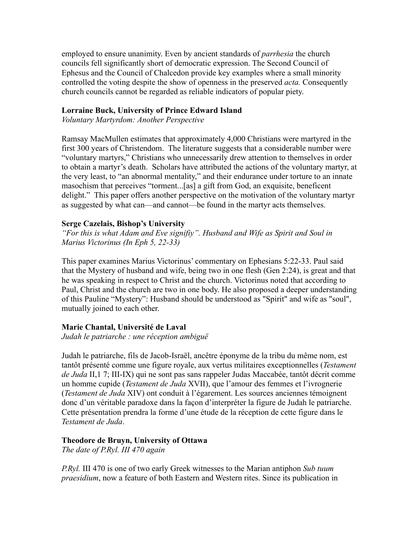employed to ensure unanimity. Even by ancient standards of *parrhesia* the church councils fell significantly short of democratic expression. The Second Council of Ephesus and the Council of Chalcedon provide key examples where a small minority controlled the voting despite the show of openness in the preserved *acta.* Consequently church councils cannot be regarded as reliable indicators of popular piety.

#### **Lorraine Buck, University of Prince Edward Island**

*Voluntary Martyrdom: Another Perspective*

Ramsay MacMullen estimates that approximately 4,000 Christians were martyred in the first 300 years of Christendom. The literature suggests that a considerable number were "voluntary martyrs," Christians who unnecessarily drew attention to themselves in order to obtain a martyr's death. Scholars have attributed the actions of the voluntary martyr, at the very least, to "an abnormal mentality," and their endurance under torture to an innate masochism that perceives "torment...[as] a gift from God, an exquisite, beneficent delight." This paper offers another perspective on the motivation of the voluntary martyr as suggested by what can—and cannot—be found in the martyr acts themselves.

#### **Serge Cazelais, Bishop's University**

*"For this is what Adam and Eve signifiy". Husband and Wife as Spirit and Soul in Marius Victorinus (In Eph 5, 22-33)*

This paper examines Marius Victorinus' commentary on Ephesians 5:22-33. Paul said that the Mystery of husband and wife, being two in one flesh (Gen 2:24), is great and that he was speaking in respect to Christ and the church. Victorinus noted that according to Paul, Christ and the church are two in one body. He also proposed a deeper understanding of this Pauline "Mystery": Husband should be understood as "Spirit" and wife as "soul", mutually joined to each other.

#### **Marie Chantal, Université de Laval**

*Judah le patriarche : une réception ambiguë*

Judah le patriarche, fils de Jacob-Israël, ancêtre éponyme de la tribu du même nom, est tantôt présenté comme une figure royale, aux vertus militaires exceptionnelles (*Testament de Juda* II,1 7; III-IX) qui ne sont pas sans rappeler Judas Maccabée, tantôt décrit comme un homme cupide (*Testament de Juda* XVII), que l'amour des femmes et l'ivrognerie (*Testament de Juda* XIV) ont conduit à l'égarement. Les sources anciennes témoignent donc d'un véritable paradoxe dans la façon d'interpréter la figure de Judah le patriarche. Cette présentation prendra la forme d'une étude de la réception de cette figure dans le *Testament de Juda*.

#### **Theodore de Bruyn, University of Ottawa**

*The date of P.Ryl. III 470 again*

*P.Ryl.* III 470 is one of two early Greek witnesses to the Marian antiphon *Sub tuum praesidium*, now a feature of both Eastern and Western rites. Since its publication in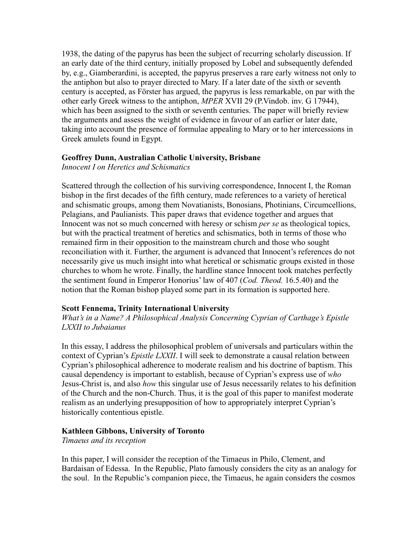1938, the dating of the papyrus has been the subject of recurring scholarly discussion. If an early date of the third century, initially proposed by Lobel and subsequently defended by, e.g., Giamberardini, is accepted, the papyrus preserves a rare early witness not only to the antiphon but also to prayer directed to Mary. If a later date of the sixth or seventh century is accepted, as Förster has argued, the papyrus is less remarkable, on par with the other early Greek witness to the antiphon, *MPER* XVII 29 (P.Vindob. inv. G 17944), which has been assigned to the sixth or seventh centuries. The paper will briefly review the arguments and assess the weight of evidence in favour of an earlier or later date, taking into account the presence of formulae appealing to Mary or to her intercessions in Greek amulets found in Egypt.

#### **Geoffrey Dunn, Australian Catholic University, Brisbane**

*Innocent I on Heretics and Schismatics*

Scattered through the collection of his surviving correspondence, Innocent I, the Roman bishop in the first decades of the fifth century, made references to a variety of heretical and schismatic groups, among them Novatianists, Bonosians, Photinians, Circumcellions, Pelagians, and Paulianists. This paper draws that evidence together and argues that Innocent was not so much concerned with heresy or schism *per se* as theological topics, but with the practical treatment of heretics and schismatics, both in terms of those who remained firm in their opposition to the mainstream church and those who sought reconciliation with it. Further, the argument is advanced that Innocent's references do not necessarily give us much insight into what heretical or schismatic groups existed in those churches to whom he wrote. Finally, the hardline stance Innocent took matches perfectly the sentiment found in Emperor Honorius' law of 407 (*Cod. Theod.* 16.5.40) and the notion that the Roman bishop played some part in its formation is supported here.

### **Scott Fennema, Trinity International University**

*What's in a Name? A Philosophical Analysis Concerning Cyprian of Carthage's Epistle LXXII to Jubaianus*

In this essay, I address the philosophical problem of universals and particulars within the context of Cyprian's *Epistle LXXII*. I will seek to demonstrate a causal relation between Cyprian's philosophical adherence to moderate realism and his doctrine of baptism. This causal dependency is important to establish, because of Cyprian's express use of *who* Jesus-Christ is, and also *how* this singular use of Jesus necessarily relates to his definition of the Church and the non-Church. Thus, it is the goal of this paper to manifest moderate realism as an underlying presupposition of how to appropriately interpret Cyprian's historically contentious epistle.

#### **Kathleen Gibbons, University of Toronto**

*Timaeus and its reception* 

In this paper, I will consider the reception of the Timaeus in Philo, Clement, and Bardaisan of Edessa. In the Republic, Plato famously considers the city as an analogy for the soul. In the Republic's companion piece, the Timaeus, he again considers the cosmos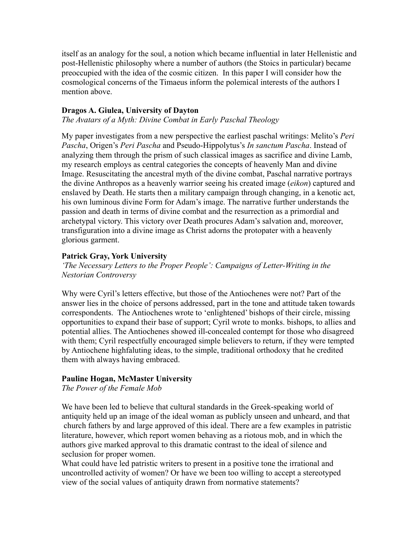itself as an analogy for the soul, a notion which became influential in later Hellenistic and post-Hellenistic philosophy where a number of authors (the Stoics in particular) became preoccupied with the idea of the cosmic citizen. In this paper I will consider how the cosmological concerns of the Timaeus inform the polemical interests of the authors I mention above.

#### **Dragos A. Giulea, University of Dayton**

*The Avatars of a Myth: Divine Combat in Early Paschal Theology*

My paper investigates from a new perspective the earliest paschal writings: Melito's *Peri Pascha*, Origen's *Peri Pascha* and Pseudo-Hippolytus's *In sanctum Pascha*. Instead of analyzing them through the prism of such classical images as sacrifice and divine Lamb, my research employs as central categories the concepts of heavenly Man and divine Image. Resuscitating the ancestral myth of the divine combat, Paschal narrative portrays the divine Anthropos as a heavenly warrior seeing his created image (*eikon*) captured and enslaved by Death. He starts then a military campaign through changing, in a kenotic act, his own luminous divine Form for Adam's image. The narrative further understands the passion and death in terms of divine combat and the resurrection as a primordial and archetypal victory. This victory over Death procures Adam's salvation and, moreover, transfiguration into a divine image as Christ adorns the protopater with a heavenly glorious garment.

#### **Patrick Gray, York University**

*'The Necessary Letters to the Proper People': Campaigns of Letter-Writing in the Nestorian Controversy*

Why were Cyril's letters effective, but those of the Antiochenes were not? Part of the answer lies in the choice of persons addressed, part in the tone and attitude taken towards correspondents. The Antiochenes wrote to 'enlightened' bishops of their circle, missing opportunities to expand their base of support; Cyril wrote to monks. bishops, to allies and potential allies. The Antiochenes showed ill-concealed contempt for those who disagreed with them; Cyril respectfully encouraged simple believers to return, if they were tempted by Antiochene highfaluting ideas, to the simple, traditional orthodoxy that he credited them with always having embraced.

#### **Pauline Hogan, McMaster University**

*The Power of the Female Mob*

We have been led to believe that cultural standards in the Greek-speaking world of antiquity held up an image of the ideal woman as publicly unseen and unheard, and that church fathers by and large approved of this ideal. There are a few examples in patristic literature, however, which report women behaving as a riotous mob, and in which the authors give marked approval to this dramatic contrast to the ideal of silence and seclusion for proper women.

What could have led patristic writers to present in a positive tone the irrational and uncontrolled activity of women? Or have we been too willing to accept a stereotyped view of the social values of antiquity drawn from normative statements?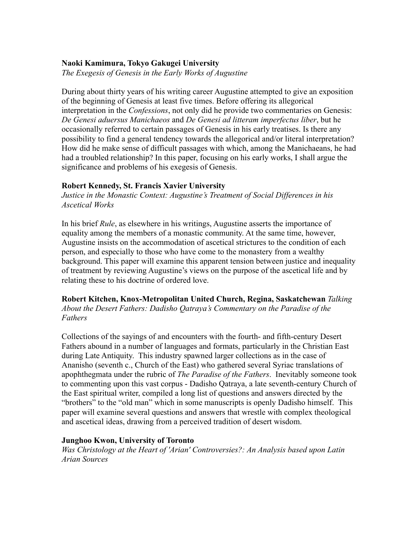#### **Naoki Kamimura, Tokyo Gakugei University**

*The Exegesis of Genesis in the Early Works of Augustine*

During about thirty years of his writing career Augustine attempted to give an exposition of the beginning of Genesis at least five times. Before offering its allegorical interpretation in the *Confessions*, not only did he provide two commentaries on Genesis: *De Genesi aduersus Manichaeos* and *De Genesi ad litteram imperfectus liber*, but he occasionally referred to certain passages of Genesis in his early treatises. Is there any possibility to find a general tendency towards the allegorical and/or literal interpretation? How did he make sense of difficult passages with which, among the Manichaeans, he had had a troubled relationship? In this paper, focusing on his early works, I shall argue the significance and problems of his exegesis of Genesis.

#### **Robert Kennedy, St. Francis Xavier University**

*Justice in the Monastic Context: Augustine's Treatment of Social Differences in his Ascetical Works*

In his brief *Rule*, as elsewhere in his writings, Augustine asserts the importance of equality among the members of a monastic community. At the same time, however, Augustine insists on the accommodation of ascetical strictures to the condition of each person, and especially to those who have come to the monastery from a wealthy background. This paper will examine this apparent tension between justice and inequality of treatment by reviewing Augustine's views on the purpose of the ascetical life and by relating these to his doctrine of ordered love.

**Robert Kitchen, Knox-Metropolitan United Church, Regina, Saskatchewan** *Talking About the Desert Fathers: Dadisho Qatraya's Commentary on the Paradise of the Fathers*

Collections of the sayings of and encounters with the fourth- and fifth-century Desert Fathers abound in a number of languages and formats, particularly in the Christian East during Late Antiquity. This industry spawned larger collections as in the case of Ananisho (seventh c., Church of the East) who gathered several Syriac translations of apophthegmata under the rubric of *The Paradise of the Fathers*. Inevitably someone took to commenting upon this vast corpus - Dadisho Qatraya, a late seventh-century Church of the East spiritual writer, compiled a long list of questions and answers directed by the "brothers" to the "old man" which in some manuscripts is openly Dadisho himself. This paper will examine several questions and answers that wrestle with complex theological and ascetical ideas, drawing from a perceived tradition of desert wisdom.

#### **Junghoo Kwon, University of Toronto**

*Was Christology at the Heart of 'Arian' Controversies?: An Analysis based upon Latin Arian Sources*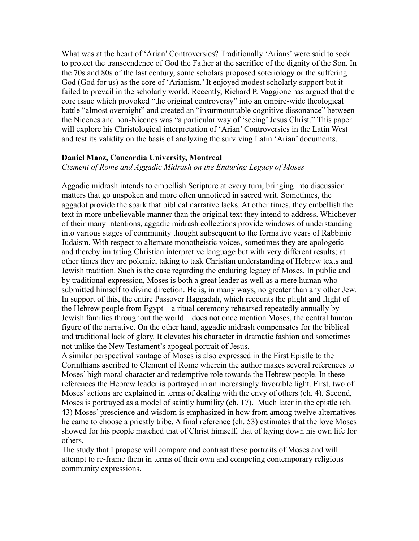What was at the heart of 'Arian' Controversies? Traditionally 'Arians' were said to seek to protect the transcendence of God the Father at the sacrifice of the dignity of the Son. In the 70s and 80s of the last century, some scholars proposed soteriology or the suffering God (God for us) as the core of 'Arianism.' It enjoyed modest scholarly support but it failed to prevail in the scholarly world. Recently, Richard P. Vaggione has argued that the core issue which provoked "the original controversy" into an empire-wide theological battle "almost overnight" and created an "insurmountable cognitive dissonance" between the Nicenes and non-Nicenes was "a particular way of 'seeing' Jesus Christ." This paper will explore his Christological interpretation of 'Arian' Controversies in the Latin West and test its validity on the basis of analyzing the surviving Latin 'Arian' documents.

#### **Daniel Maoz, Concordia University, Montreal**

*Clement of Rome and Aggadic Midrash on the Enduring Legacy of Moses*

Aggadic midrash intends to embellish Scripture at every turn, bringing into discussion matters that go unspoken and more often unnoticed in sacred writ. Sometimes, the aggadot provide the spark that biblical narrative lacks. At other times, they embellish the text in more unbelievable manner than the original text they intend to address. Whichever of their many intentions, aggadic midrash collections provide windows of understanding into various stages of community thought subsequent to the formative years of Rabbinic Judaism. With respect to alternate monotheistic voices, sometimes they are apologetic and thereby imitating Christian interpretive language but with very different results; at other times they are polemic, taking to task Christian understanding of Hebrew texts and Jewish tradition. Such is the case regarding the enduring legacy of Moses. In public and by traditional expression, Moses is both a great leader as well as a mere human who submitted himself to divine direction. He is, in many ways, no greater than any other Jew. In support of this, the entire Passover Haggadah, which recounts the plight and flight of the Hebrew people from Egypt – a ritual ceremony rehearsed repeatedly annually by Jewish families throughout the world – does not once mention Moses, the central human figure of the narrative. On the other hand, aggadic midrash compensates for the biblical and traditional lack of glory. It elevates his character in dramatic fashion and sometimes not unlike the New Testament's apogeal portrait of Jesus.

A similar perspectival vantage of Moses is also expressed in the First Epistle to the Corinthians ascribed to Clement of Rome wherein the author makes several references to Moses' high moral character and redemptive role towards the Hebrew people. In these references the Hebrew leader is portrayed in an increasingly favorable light. First, two of Moses' actions are explained in terms of dealing with the envy of others (ch. 4). Second, Moses is portrayed as a model of saintly humility (ch. 17). Much later in the epistle (ch. 43) Moses' prescience and wisdom is emphasized in how from among twelve alternatives he came to choose a priestly tribe. A final reference (ch. 53) estimates that the love Moses showed for his people matched that of Christ himself, that of laying down his own life for others.

The study that I propose will compare and contrast these portraits of Moses and will attempt to re-frame them in terms of their own and competing contemporary religious community expressions.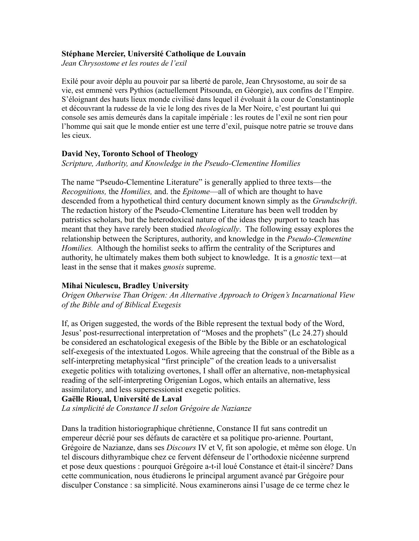#### **Stéphane Mercier, Université Catholique de Louvain**

*Jean Chrysostome et les routes de l'exil*

Exilé pour avoir déplu au pouvoir par sa liberté de parole, Jean Chrysostome, au soir de sa vie, est emmené vers Pythios (actuellement Pitsounda, en Géorgie), aux confins de l'Empire. S'éloignant des hauts lieux monde civilisé dans lequel il évoluait à la cour de Constantinople et découvrant la rudesse de la vie le long des rives de la Mer Noire, c'est pourtant lui qui console ses amis demeurés dans la capitale impériale : les routes de l'exil ne sont rien pour l'homme qui sait que le monde entier est une terre d'exil, puisque notre patrie se trouve dans les cieux.

#### **David Ney, Toronto School of Theology**

*Scripture, Authority, and Knowledge in the Pseudo-Clementine Homilies*

The name "Pseudo-Clementine Literature" is generally applied to three texts—the *Recognitions,* the *Homilies,* and. the *Epitome*—all of which are thought to have descended from a hypothetical third century document known simply as the *Grundschrift*. The redaction history of the Pseudo-Clementine Literature has been well trodden by patristics scholars, but the heterodoxical nature of the ideas they purport to teach has meant that they have rarely been studied *theologically*. The following essay explores the relationship between the Scriptures, authority, and knowledge in the *Pseudo-Clementine Homilies.* Although the homilist seeks to affirm the centrality of the Scriptures and authority, he ultimately makes them both subject to knowledge. It is a *gnostic* text—at least in the sense that it makes *gnosis* supreme.

### **Mihai Niculescu, Bradley University**

*Origen Otherwise Than Origen: An Alternative Approach to Origen's Incarnational View of the Bible and of Biblical Exegesis* 

If, as Origen suggested, the words of the Bible represent the textual body of the Word, Jesus' post-resurrectional interpretation of "Moses and the prophets" (Lc 24.27) should be considered an eschatological exegesis of the Bible by the Bible or an eschatological self-exegesis of the intextuated Logos. While agreeing that the construal of the Bible as a self-interpreting metaphysical "first principle" of the creation leads to a universalist exegetic politics with totalizing overtones, I shall offer an alternative, non-metaphysical reading of the self-interpreting Origenian Logos, which entails an alternative, less assimilatory, and less supersessionist exegetic politics.

# **Gaëlle Rioual, Université de Laval**

*La simplicité de Constance II selon Grégoire de Nazianze*

Dans la tradition historiographique chrétienne, Constance II fut sans contredit un empereur décrié pour ses défauts de caractère et sa politique pro-arienne. Pourtant, Grégoire de Nazianze, dans ses *Discours* IV et V, fit son apologie, et même son éloge. Un tel discours dithyrambique chez ce fervent défenseur de l'orthodoxie nicéenne surprend et pose deux questions : pourquoi Grégoire a-t-il loué Constance et était-il sincère? Dans cette communication, nous étudierons le principal argument avancé par Grégoire pour disculper Constance : sa simplicité. Nous examinerons ainsi l'usage de ce terme chez le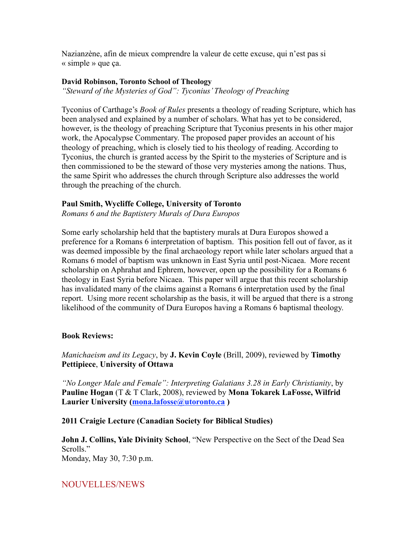Nazianzène, afin de mieux comprendre la valeur de cette excuse, qui n'est pas si « simple » que ça.

#### **David Robinson, Toronto School of Theology**

*"Steward of the Mysteries of God": Tyconius' Theology of Preaching* 

Tyconius of Carthage's *Book of Rules* presents a theology of reading Scripture, which has been analysed and explained by a number of scholars. What has yet to be considered, however, is the theology of preaching Scripture that Tyconius presents in his other major work, the Apocalypse Commentary. The proposed paper provides an account of his theology of preaching, which is closely tied to his theology of reading. According to Tyconius, the church is granted access by the Spirit to the mysteries of Scripture and is then commissioned to be the steward of those very mysteries among the nations. Thus, the same Spirit who addresses the church through Scripture also addresses the world through the preaching of the church.

### **Paul Smith, Wycliffe College, University of Toronto**

*Romans 6 and the Baptistery Murals of Dura Europos*

Some early scholarship held that the baptistery murals at Dura Europos showed a preference for a Romans 6 interpretation of baptism. This position fell out of favor, as it was deemed impossible by the final archaeology report while later scholars argued that a Romans 6 model of baptism was unknown in East Syria until post-Nicaea. More recent scholarship on Aphrahat and Ephrem, however, open up the possibility for a Romans 6 theology in East Syria before Nicaea. This paper will argue that this recent scholarship has invalidated many of the claims against a Romans 6 interpretation used by the final report. Using more recent scholarship as the basis, it will be argued that there is a strong likelihood of the community of Dura Europos having a Romans 6 baptismal theology.

### **Book Reviews:**

*Manichaeism and its Legacy*, by **J. Kevin Coyle** (Brill, 2009), reviewed by **Timothy Pettipiece**, **University of Ottawa** 

*"No Longer Male and Female": Interpreting Galatians 3.28 in Early Christianity*, by **Pauline Hogan** (T & T Clark, 2008), reviewed by **Mona Tokarek LaFosse, Wilfrid Laurier University (mona.lafosse@utoronto.ca )**

### **2011 Craigie Lecture (Canadian Society for Biblical Studies)**

**John J. Collins, Yale Divinity School**, "New Perspective on the Sect of the Dead Sea Scrolls." Monday, May 30, 7:30 p.m.

# NOUVELLES/NEWS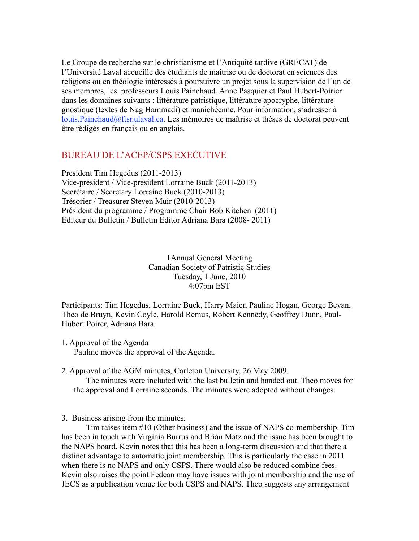Le Groupe de recherche sur le christianisme et l'Antiquité tardive (GRECAT) de l'Université Laval accueille des étudiants de maîtrise ou de doctorat en sciences des religions ou en théologie intéressés à poursuivre un projet sous la supervision de l'un de ses membres, les professeurs Louis Painchaud, Anne Pasquier et Paul Hubert-Poirier dans les domaines suivants : littérature patristique, littérature apocryphe, littérature gnostique (textes de Nag Hammadi) et manichéenne. Pour information, s'adresser à louis.Painchaud@ftsr.ulaval.ca. Les mémoires de maîtrise et thèses de doctorat peuvent être rédigés en français ou en anglais.

## BUREAU DE L'ACEP/CSPS EXECUTIVE

President Tim Hegedus (2011-2013) Vice-president / Vice-president Lorraine Buck (2011-2013) Secrétaire / Secretary Lorraine Buck (2010-2013) Trésorier / Treasurer Steven Muir (2010-2013) Président du programme / Programme Chair Bob Kitchen (2011) Editeur du Bulletin / Bulletin Editor Adriana Bara (2008- 2011)

> 1Annual General Meeting Canadian Society of Patristic Studies Tuesday, 1 June, 2010 4:07pm EST

Participants: Tim Hegedus, Lorraine Buck, Harry Maier, Pauline Hogan, George Bevan, Theo de Bruyn, Kevin Coyle, Harold Remus, Robert Kennedy, Geoffrey Dunn, Paul-Hubert Poirer, Adriana Bara.

- 1. Approval of the Agenda Pauline moves the approval of the Agenda.
- 2. Approval of the AGM minutes, Carleton University, 26 May 2009. The minutes were included with the last bulletin and handed out. Theo moves for the approval and Lorraine seconds. The minutes were adopted without changes.
- 3. Business arising from the minutes.

Tim raises item #10 (Other business) and the issue of NAPS co-membership. Tim has been in touch with Virginia Burrus and Brian Matz and the issue has been brought to the NAPS board. Kevin notes that this has been a long-term discussion and that there a distinct advantage to automatic joint membership. This is particularly the case in 2011 when there is no NAPS and only CSPS. There would also be reduced combine fees. Kevin also raises the point Fedcan may have issues with joint membership and the use of JECS as a publication venue for both CSPS and NAPS. Theo suggests any arrangement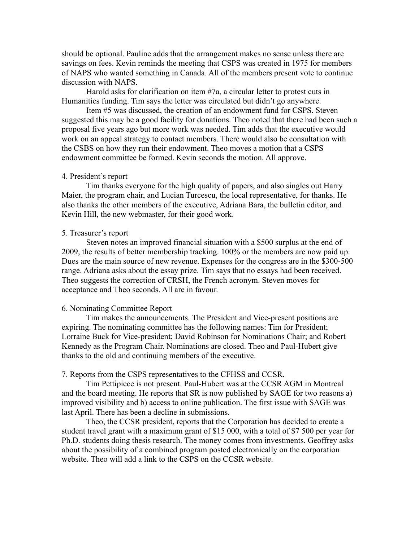should be optional. Pauline adds that the arrangement makes no sense unless there are savings on fees. Kevin reminds the meeting that CSPS was created in 1975 for members of NAPS who wanted something in Canada. All of the members present vote to continue discussion with NAPS.

Harold asks for clarification on item #7a, a circular letter to protest cuts in Humanities funding. Tim says the letter was circulated but didn't go anywhere.

Item #5 was discussed, the creation of an endowment fund for CSPS. Steven suggested this may be a good facility for donations. Theo noted that there had been such a proposal five years ago but more work was needed. Tim adds that the executive would work on an appeal strategy to contact members. There would also be consultation with the CSBS on how they run their endowment. Theo moves a motion that a CSPS endowment committee be formed. Kevin seconds the motion. All approve.

#### 4. President's report

Tim thanks everyone for the high quality of papers, and also singles out Harry Maier, the program chair, and Lucian Turcescu, the local representative, for thanks. He also thanks the other members of the executive, Adriana Bara, the bulletin editor, and Kevin Hill, the new webmaster, for their good work.

#### 5. Treasurer's report

Steven notes an improved financial situation with a \$500 surplus at the end of 2009, the results of better membership tracking. 100% or the members are now paid up. Dues are the main source of new revenue. Expenses for the congress are in the \$300-500 range. Adriana asks about the essay prize. Tim says that no essays had been received. Theo suggests the correction of CRSH, the French acronym. Steven moves for acceptance and Theo seconds. All are in favour.

#### 6. Nominating Committee Report

Tim makes the announcements. The President and Vice-present positions are expiring. The nominating committee has the following names: Tim for President; Lorraine Buck for Vice-president; David Robinson for Nominations Chair; and Robert Kennedy as the Program Chair. Nominations are closed. Theo and Paul-Hubert give thanks to the old and continuing members of the executive.

#### 7. Reports from the CSPS representatives to the CFHSS and CCSR.

Tim Pettipiece is not present. Paul-Hubert was at the CCSR AGM in Montreal and the board meeting. He reports that SR is now published by SAGE for two reasons a) improved visibility and b) access to online publication. The first issue with SAGE was last April. There has been a decline in submissions.

Theo, the CCSR president, reports that the Corporation has decided to create a student travel grant with a maximum grant of \$15 000, with a total of \$7 500 per year for Ph.D. students doing thesis research. The money comes from investments. Geoffrey asks about the possibility of a combined program posted electronically on the corporation website. Theo will add a link to the CSPS on the CCSR website.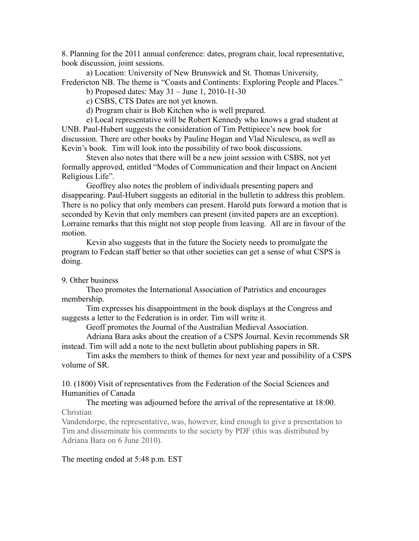8. Planning for the 2011 annual conference: dates, program chair, local representative, book discussion, joint sessions.

a) Location: University of New Brunswick and St. Thomas University, Fredericton NB. The theme is "Coasts and Continents: Exploring People and Places."

b) Proposed dates: May 31 – June 1, 2010-11-30

c) CSBS, CTS Dates are not yet known.

d) Program chair is Bob Kitchen who is well prepared.

e) Local representative will be Robert Kennedy who knows a grad student at UNB. Paul-Hubert suggests the consideration of Tim Pettipiece's new book for discussion. There are other books by Pauline Hogan and Vlad Niculescu, as well as Kevin's book. Tim will look into the possibility of two book discussions.

Steven also notes that there will be a new joint session with CSBS, not yet formally approved, entitled "Modes of Communication and their Impact on Ancient Religious Life".

Geoffrey also notes the problem of individuals presenting papers and disappearing. Paul-Hubert suggests an editorial in the bulletin to address this problem. There is no policy that only members can present. Harold puts forward a motion that is seconded by Kevin that only members can present (invited papers are an exception). Lorraine remarks that this might not stop people from leaving. All are in favour of the motion.

Kevin also suggests that in the future the Society needs to promulgate the program to Fedcan staff better so that other societies can get a sense of what CSPS is doing.

9. Other business

Theo promotes the International Association of Patristics and encourages membership.

Tim expresses his disappointment in the book displays at the Congress and suggests a letter to the Federation is in order. Tim will write it.

Geoff promotes the Journal of the Australian Medieval Association.

Adriana Bara asks about the creation of a CSPS Journal. Kevin recommends SR instead. Tim will add a note to the next bulletin about publishing papers in SR.

Tim asks the members to think of themes for next year and possibility of a CSPS volume of SR.

10. (1800) Visit of representatives from the Federation of the Social Sciences and Humanities of Canada

The meeting was adjourned before the arrival of the representative at 18:00. Christian

Vandendorpe, the representative, was, however, kind enough to give a presentation to Tim and disseminate his comments to the society by PDF (this was distributed by Adriana Bara on 6 June 2010).

The meeting ended at 5:48 p.m. EST